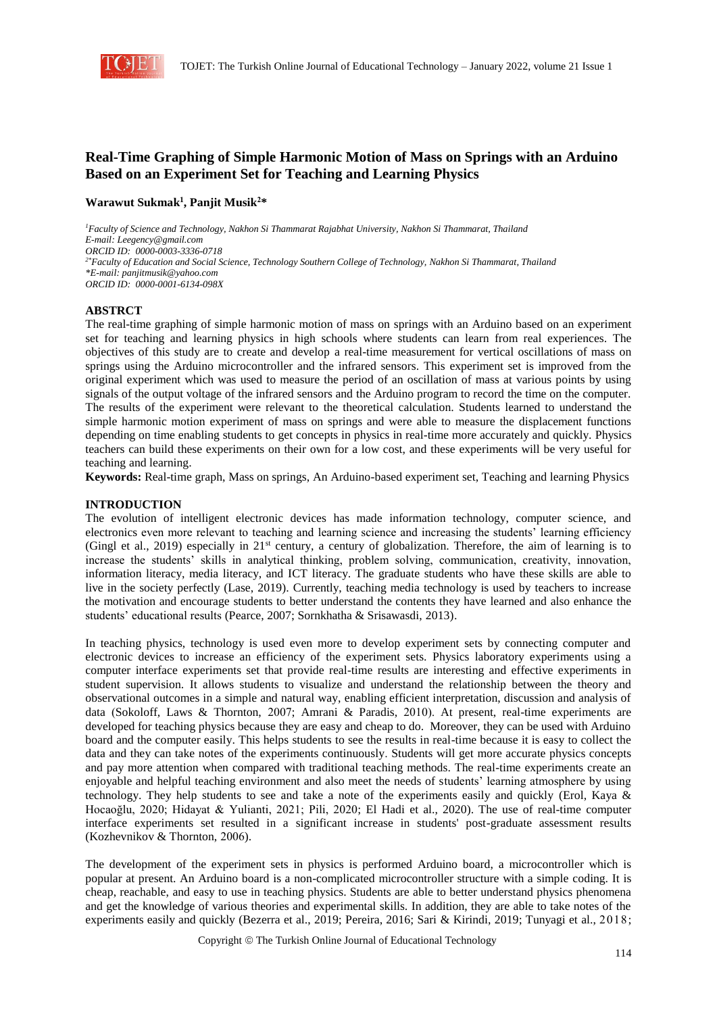

# **Real-Time Graphing of Simple Harmonic Motion of Mass on Springs with an Arduino Based on an Experiment Set for Teaching and Learning Physics**

# **Warawut Sukmak<sup>1</sup> , Panjit Musik<sup>2</sup>\***

*<sup>1</sup>Faculty of Science and Technology, Nakhon Si Thammarat Rajabhat University, Nakhon Si Thammarat, Thailand E-mail: Leegency@gmail.com ORCID ID: 0000-0003-3336-0718 2\*Faculty of Education and Social Science, Technology Southern College of Technology, Nakhon Si Thammarat, Thailand \*E-mail[: panjitmusik@yahoo.com](mailto:panjitmusik@yahoo.com) ORCID ID: 0000-0001-6134-098X*

### **ABSTRCT**

The real-time graphing of simple harmonic motion of mass on springs with an Arduino based on an experiment set for teaching and learning physics in high schools where students can learn from real experiences. The objectives of this study are to create and develop a real-time measurement for vertical oscillations of mass on springs using the Arduino microcontroller and the infrared sensors. This experiment set is improved from the original experiment which was used to measure the period of an oscillation of mass at various points by using signals of the output voltage of the infrared sensors and the Arduino program to record the time on the computer. The results of the experiment were relevant to the theoretical calculation. Students learned to understand the simple harmonic motion experiment of mass on springs and were able to measure the displacement functions depending on time enabling students to get concepts in physics in real-time more accurately and quickly. Physics teachers can build these experiments on their own for a low cost, and these experiments will be very useful for teaching and learning.

**Keywords:** Real-time graph, Mass on springs, An Arduino-based experiment set, Teaching and learning Physics

### **INTRODUCTION**

The evolution of intelligent electronic devices has made information technology, computer science, and electronics even more relevant to teaching and learning science and increasing the students' learning efficiency (Gingl et al., 2019) especially in 21st century, a century of globalization. Therefore, the aim of learning is to increase the students' skills in analytical thinking, problem solving, communication, creativity, innovation, information literacy, media literacy, and ICT literacy. The graduate students who have these skills are able to live in the society perfectly (Lase, 2019). Currently, teaching media technology is used by teachers to increase the motivation and encourage students to better understand the contents they have learned and also enhance the students' educational results (Pearce, 2007; Sornkhatha & Srisawasdi, 2013).

In teaching physics, technology is used even more to develop experiment sets by connecting computer and electronic devices to increase an efficiency of the experiment sets. Physics laboratory experiments using a computer interface experiments set that provide real-time results are interesting and effective experiments in student supervision. It allows students to visualize and understand the relationship between the theory and observational outcomes in a simple and natural way, enabling efficient interpretation, discussion and analysis of data (Sokoloff, Laws & Thornton, 2007; Amrani & Paradis, 2010). At present, real-time experiments are developed for teaching physics because they are easy and cheap to do. Moreover, they can be used with Arduino board and the computer easily. This helps students to see the results in real-time because it is easy to collect the data and they can take notes of the experiments continuously. Students will get more accurate physics concepts and pay more attention when compared with traditional teaching methods. The real-time experiments create an enjoyable and helpful teaching environment and also meet the needs of students' learning atmosphere by using technology. They help students to see and take a note of the experiments easily and quickly (Erol, Kaya & Hocaoğlu, 2020; Hidayat & Yulianti, 2021; Pili, 2020; El Hadi et al., 2020). The use of real-time computer interface experiments set resulted in a significant increase in students' post-graduate assessment results (Kozhevnikov & Thornton, 2006).

The development of the experiment sets in physics is performed Arduino board, a microcontroller which is popular at present. An Arduino board is a non-complicated microcontroller structure with a simple coding. It is cheap, reachable, and easy to use in teaching physics. Students are able to better understand physics phenomena and get the knowledge of various theories and experimental skills. In addition, they are able to take notes of the experiments easily and quickly (Bezerra et al., 2019; Pereira, 2016; Sari & Kirindi, 2019; Tunyagi et al., 2018;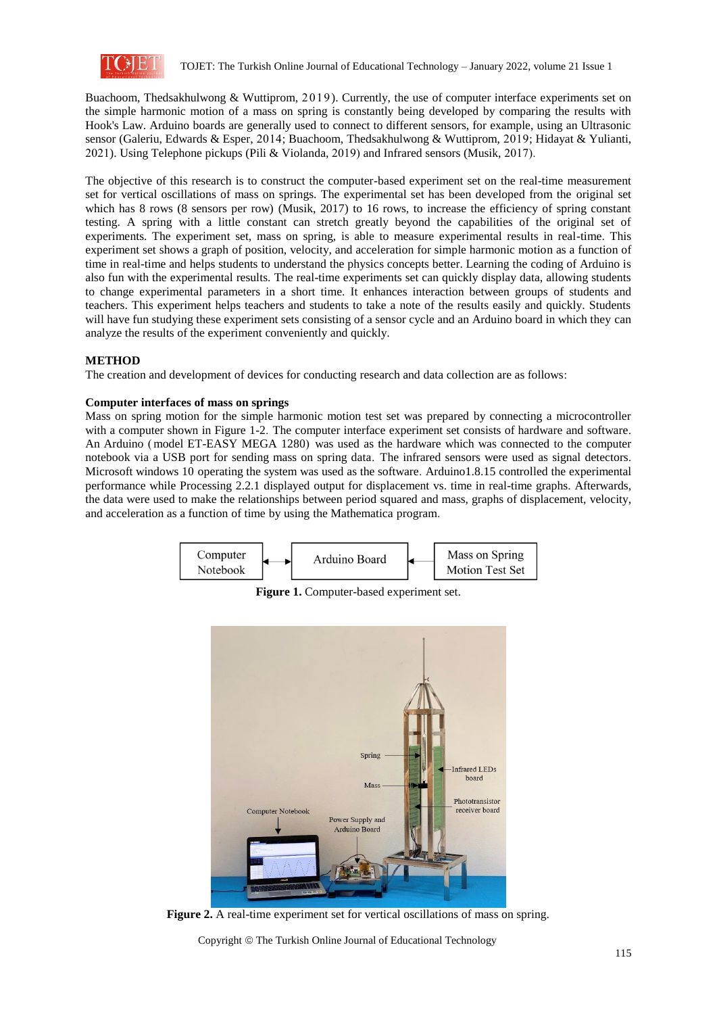

Buachoom, Thedsakhulwong & Wuttiprom, 2019). Currently, the use of computer interface experiments set on the simple harmonic motion of a mass on spring is constantly being developed by comparing the results with Hook's Law. Arduino boards are generally used to connect to different sensors, for example, using an Ultrasonic sensor (Galeriu, Edwards & Esper, 2014; Buachoom, Thedsakhulwong & Wuttiprom, 2019; Hidayat & Yulianti, 2021). Using Telephone pickups (Pili & Violanda, 2019) and Infrared sensors (Musik, 2017).

The objective of this research is to construct the computer-based experiment set on the real-time measurement set for vertical oscillations of mass on springs. The experimental set has been developed from the original set which has 8 rows (8 sensors per row) (Musik, 2017) to 16 rows, to increase the efficiency of spring constant testing. A spring with a little constant can stretch greatly beyond the capabilities of the original set of experiments. The experiment set, mass on spring, is able to measure experimental results in real-time. This experiment set shows a graph of position, velocity, and acceleration for simple harmonic motion as a function of time in real-time and helps students to understand the physics concepts better. Learning the coding of Arduino is also fun with the experimental results. The real-time experiments set can quickly display data, allowing students to change experimental parameters in a short time. It enhances interaction between groups of students and teachers. This experiment helps teachers and students to take a note of the results easily and quickly. Students will have fun studying these experiment sets consisting of a sensor cycle and an Arduino board in which they can analyze the results of the experiment conveniently and quickly.

# **METHOD**

The creation and development of devices for conducting research and data collection are as follows:

# **Computer interfaces of mass on springs**

Mass on spring motion for the simple harmonic motion test set was prepared by connecting a microcontroller with a computer shown in Figure 1-2. The computer interface experiment set consists of hardware and software. An Arduino (model ET-EASY MEGA 1280) was used as the hardware which was connected to the computer notebook via a USB port for sending mass on spring data. The infrared sensors were used as signal detectors. Microsoft windows 10 operating the system was used as the software. Arduino1.8.15 controlled the experimental performance while Processing 2.2.1 displayed output for displacement vs. time in real-time graphs. Afterwards, the data were used to make the relationships between period squared and mass, graphs of displacement, velocity, and acceleration as a function of time by using the Mathematica program.



**Figure 1.** Computer-based experiment set.



**Figure 2.** A real-time experiment set for vertical oscillations of mass on spring.

Copyright © The Turkish Online Journal of Educational Technology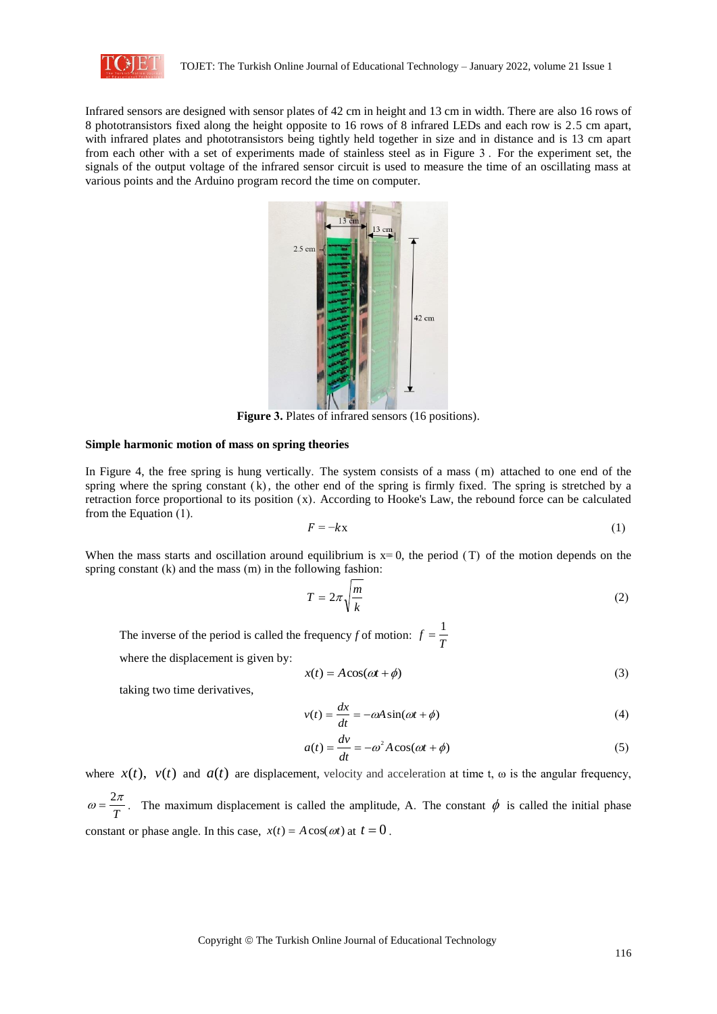

Infrared sensors are designed with sensor plates of 42 cm in height and 13 cm in width. There are also 16 rows of 8 phototransistors fixed along the height opposite to 16 rows of 8 infrared LEDs and each row is 2.5 cm apart, with infrared plates and phototransistors being tightly held together in size and in distance and is 13 cm apart from each other with a set of experiments made of stainless steel as in Figure 3 . For the experiment set, the signals of the output voltage of the infrared sensor circuit is used to measure the time of an oscillating mass at various points and the Arduino program record the time on computer.



Figure 3. Plates of infrared sensors (16 positions).

#### **Simple harmonic motion of mass on spring theories**

In Figure 4, the free spring is hung vertically. The system consists of a mass ( m) attached to one end of the spring where the spring constant  $(k)$ , the other end of the spring is firmly fixed. The spring is stretched by a retraction force proportional to its position  $(x)$ . According to Hooke's Law, the rebound force can be calculated from the Equation (1).

$$
F = -kx \tag{1}
$$

When the mass starts and oscillation around equilibrium is  $x=0$ , the period (T) of the motion depends on the spring constant (k) and the mass (m) in the following fashion:

$$
T = 2\pi \sqrt{\frac{m}{k}}\tag{2}
$$

The inverse of the period is called the frequency *f* of motion:  $f = \frac{1}{T}$ 

where the displacement is given by:

$$
x(t) = A\cos(\omega t + \phi) \tag{3}
$$

taking two time derivatives,

$$
v(t) = \frac{dx}{dt} = -\omega A \sin(\omega t + \phi)
$$
 (4)

$$
a(t) = \frac{dv}{dt} = -\omega^2 A \cos(\omega t + \phi)
$$
 (5)

where  $x(t)$ ,  $v(t)$  and  $a(t)$  are displacement, velocity and acceleration at time t,  $\omega$  is the angular frequency, *T*  $\omega = \frac{2\pi}{T}$ . The maximum displacement is called the amplitude, A. The constant  $\phi$  is called the initial phase constant or phase angle. In this case,  $x(t) = A \cos(\omega t)$  at  $t = 0$ .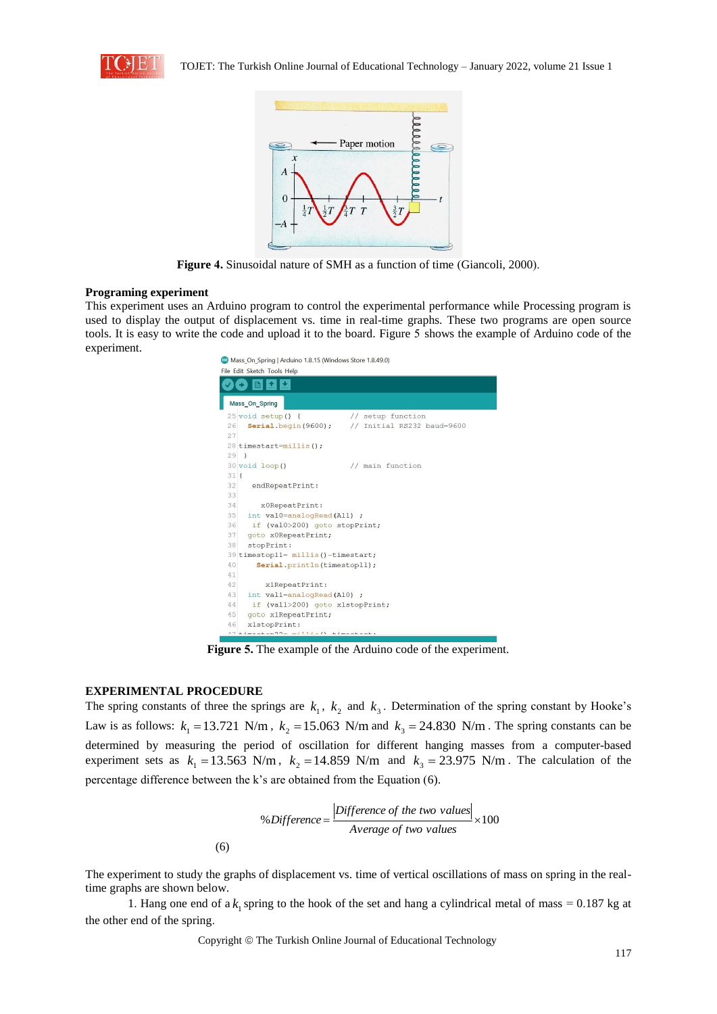



**Figure 4.** Sinusoidal nature of SMH as a function of time (Giancoli, 2000).

#### **Programing experiment**

This experiment uses an Arduino program to control the experimental performance while Processing program is used to display the output of displacement vs. time in real-time graphs. These two programs are open source tools. It is easy to write the code and upload it to the board. Figure 5 shows the example of Arduino code of the experiment.

| Mass On Spring   Arduino 1.8.15 (Windows Store 1.8.49.0) |                                                       |  |  |  |  |  |  |
|----------------------------------------------------------|-------------------------------------------------------|--|--|--|--|--|--|
| File Edit Sketch Tools Help                              |                                                       |  |  |  |  |  |  |
|                                                          |                                                       |  |  |  |  |  |  |
|                                                          | Mass_On_Spring                                        |  |  |  |  |  |  |
|                                                          | 25 void setup() {<br>// setup function                |  |  |  |  |  |  |
| 26                                                       | Serial.begin(9600);<br>// Initial RS232 baud=9600     |  |  |  |  |  |  |
| 27                                                       |                                                       |  |  |  |  |  |  |
|                                                          | 28 timestart=millis();                                |  |  |  |  |  |  |
| $29$ }                                                   |                                                       |  |  |  |  |  |  |
|                                                          | // main function<br>30 void loop ()                   |  |  |  |  |  |  |
| $31$ $\overline{\phantom{1}}$                            |                                                       |  |  |  |  |  |  |
| 32                                                       | endRepeatPrint:                                       |  |  |  |  |  |  |
| 33                                                       |                                                       |  |  |  |  |  |  |
| 34                                                       | x0RepeatPrint:                                        |  |  |  |  |  |  |
| 35                                                       | int val0=analogRead(A11) ;                            |  |  |  |  |  |  |
| 36                                                       | if (val0>200) goto stopPrint;                         |  |  |  |  |  |  |
| 37                                                       | goto x0RepeatPrint;                                   |  |  |  |  |  |  |
| 38                                                       | stopPrint:                                            |  |  |  |  |  |  |
|                                                          | 39 timestop11= millis()-timestart;                    |  |  |  |  |  |  |
| 40                                                       | Serial.println(timestop11);                           |  |  |  |  |  |  |
| 41                                                       |                                                       |  |  |  |  |  |  |
| 42                                                       | x1RepeatPrint:                                        |  |  |  |  |  |  |
| 43                                                       | int vall=analogRead(A10) ;                            |  |  |  |  |  |  |
| 44                                                       | if (vall>200) goto x1stopPrint;                       |  |  |  |  |  |  |
| 45                                                       | goto x1RepeatPrint;                                   |  |  |  |  |  |  |
| 46                                                       | xlstopPrint:                                          |  |  |  |  |  |  |
|                                                          | $17 + 1$ montan $19 - m + 11 + n$ / $11 + 1$ montant. |  |  |  |  |  |  |

**Figure 5.** The example of the Arduino code of the experiment.

# **EXPERIMENTAL PROCEDURE**

The spring constants of three the springs are  $k_1$ ,  $k_2$  and  $k_3$ . Determination of the spring constant by Hooke's Law is as follows:  $k_1 = 13.721$  N/m,  $k_2 = 15.063$  N/m and  $k_3 = 24.830$  N/m. The spring constants can be determined by measuring the period of oscillation for different hanging masses from a computer-based experiment sets as  $k_1 = 13.563$  N/m,  $k_2 = 14.859$  N/m and  $k_3 = 23.975$  N/m. The calculation of the percentage difference between the k's are obtained from the Equation (6).

% Difference = 
$$
\frac{|Difference\ of\ the\ two\ values|}{Average\ of\ two\ values} \times 100
$$

\n(6)

The experiment to study the graphs of displacement vs. time of vertical oscillations of mass on spring in the realtime graphs are shown below.

1. Hang one end of a  $k_1$  spring to the hook of the set and hang a cylindrical metal of mass = 0.187 kg at the other end of the spring.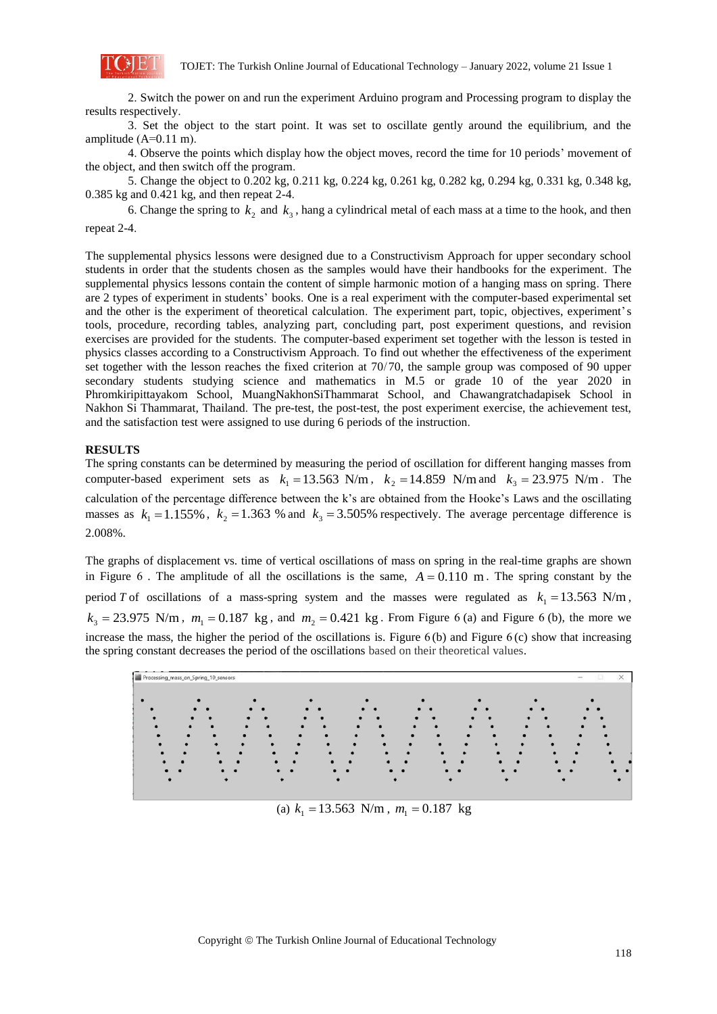

2. Switch the power on and run the experiment Arduino program and Processing program to display the results respectively.

3. Set the object to the start point. It was set to oscillate gently around the equilibrium, and the amplitude (A=0.11 m).

4. Observe the points which display how the object moves, record the time for 10 periods' movement of the object, and then switch off the program.

5. Change the object to 0.202 kg, 0.211 kg, 0.224 kg, 0.261 kg, 0.282 kg, 0.294 kg, 0.331 kg, 0.348 kg, 0.385 kg and 0.421 kg, and then repeat 2-4.

6. Change the spring to  $k_2$  and  $k_3$ , hang a cylindrical metal of each mass at a time to the hook, and then repeat 2-4.

The supplemental physics lessons were designed due to a Constructivism Approach for upper secondary school students in order that the students chosen as the samples would have their handbooks for the experiment. The supplemental physics lessons contain the content of simple harmonic motion of a hanging mass on spring. There are 2 types of experiment in students' books. One is a real experiment with the computer-based experimental set and the other is the experiment of theoretical calculation. The experiment part, topic, objectives, experiment's tools, procedure, recording tables, analyzing part, concluding part, post experiment questions, and revision exercises are provided for the students. The computer-based experiment set together with the lesson is tested in physics classes according to a Constructivism Approach. To find out whether the effectiveness of the experiment set together with the lesson reaches the fixed criterion at 70/70, the sample group was composed of 90 upper secondary students studying science and mathematics in M.5 or grade 10 of the year 2020 in Phromkiripittayakom School, MuangNakhonSiThammarat School, and Chawangratchadapisek School in Nakhon Si Thammarat, Thailand. The pre-test, the post-test, the post experiment exercise, the achievement test, and the satisfaction test were assigned to use during 6 periods of the instruction.

### **RESULTS**

The spring constants can be determined by measuring the period of oscillation for different hanging masses from computer-based experiment sets as  $k_1 = 13.563$  N/m,  $k_2 = 14.859$  N/m and  $k_3 = 23.975$  N/m. The calculation of the percentage difference between the k's are obtained from the Hooke's Laws and the oscillating masses as  $k_1 = 1.155\%$ ,  $k_2 = 1.363\%$  and  $k_3 = 3.505\%$  respectively. The average percentage difference is 2.008%.

The graphs of displacement vs. time of vertical oscillations of mass on spring in the real-time graphs are shown in Figure 6. The amplitude of all the oscillations is the same,  $A = 0.110$  m. The spring constant by the period *T* of oscillations of a mass-spring system and the masses were regulated as  $k_1 = 13.563$  N/m,  $k_3 = 23.975$  N/m,  $m_1 = 0.187$  kg, and  $m_2 = 0.421$  kg. From Figure 6 (a) and Figure 6 (b), the more we increase the mass, the higher the period of the oscillations is. Figure 6 (b) and Figure 6 (c) show that increasing the spring constant decreases the period of the oscillations based on their theoretical values.



(a)  $k_1 = 13.563$  N/m,  $m_1 = 0.187$  kg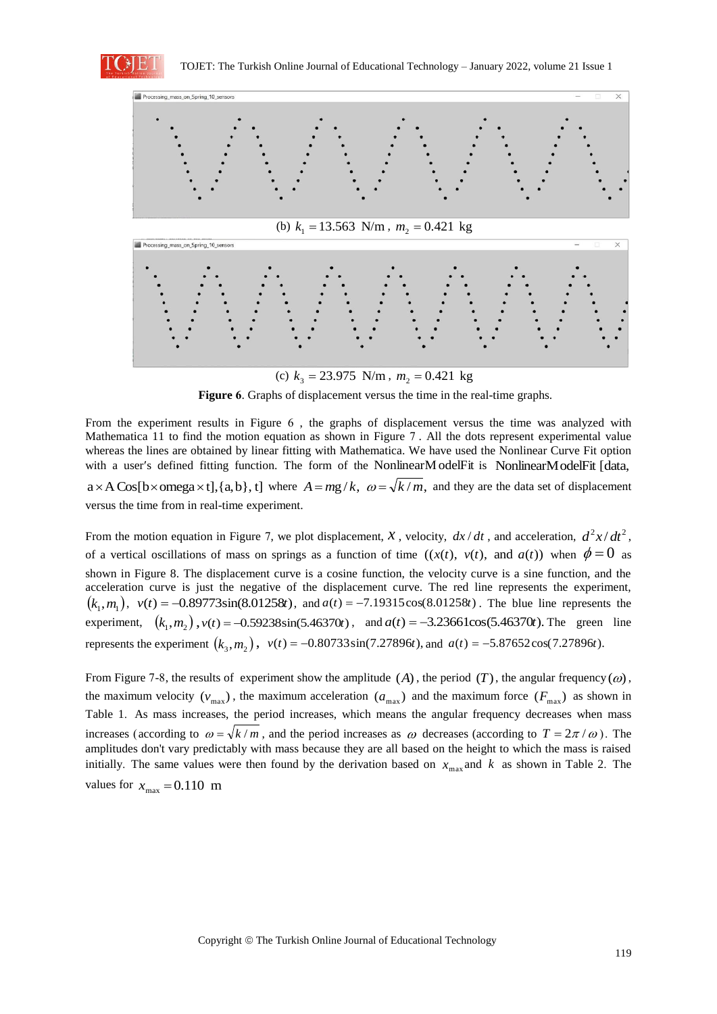



(c)  $k_3 = 23.975$  N/m,  $m_2 = 0.421$  kg

**Figure 6**. Graphs of displacement versus the time in the real-time graphs.

From the experiment results in Figure 6 , the graphs of displacement versus the time was analyzed with Mathematica 11 to find the motion equation as shown in Figure 7 . All the dots represent experimental value whereas the lines are obtained by linear fitting with Mathematica. We have used the Nonlinear Curve Fit option with a user's defined fitting function. The form of the NonlinearModelFit is NonlinearModelFit [data,

 $a \times A \cos[b \times \text{omega} \times t], \{a, b\}, t]$  where  $A = mg/k$ ,  $\omega = \sqrt{k/m}$ , and they are the data set of displacement versus the time from in real-time experiment.

From the motion equation in Figure 7, we plot displacement, *x*, velocity,  $dx/dt$ , and acceleration,  $d^2x/dt^2$ , of a vertical oscillations of mass on springs as a function of time  $((x(t), v(t), \text{ and } a(t))$  when  $\phi = 0$  as shown in Figure 8. The displacement curve is a cosine function, the velocity curve is a sine function, and the acceleration curve is just the negative of the displacement curve. The red line represents the experiment,  $(k_1, m_1)$ ,  $v(t) = -0.89773\sin(8.01258t)$ , and  $a(t) = -7.19315\cos(8.01258t)$ . The blue line represents the experiment,  $(k_1, m_2)$ ,  $v(t) = -0.59238\sin(5.46370t)$ , and  $a(t) = -3.23661\cos(5.46370t)$ . The green line represents the experiment  $(k_3, m_2)$ ,  $v(t) = -0.80733\sin(7.27896t)$ , and  $a(t) = -5.87652\cos(7.27896t)$ .

From Figure 7-8, the results of experiment show the amplitude  $(A)$ , the period  $(T)$ , the angular frequency  $(\omega)$ , the maximum velocity  $(v_{max})$ , the maximum acceleration  $(a_{max})$  and the maximum force  $(F_{max})$  as shown in Table 1. As mass increases, the period increases, which means the angular frequency decreases when mass increases (according to  $\omega = \sqrt{k/m}$ , and the period increases as  $\omega$  decreases (according to  $T = 2\pi/\omega$ ). The amplitudes don't vary predictably with mass because they are all based on the height to which the mass is raised initially. The same values were then found by the derivation based on  $x_{\text{max}}$  and k as shown in Table 2. The values for  $x_{\text{max}} = 0.110$  m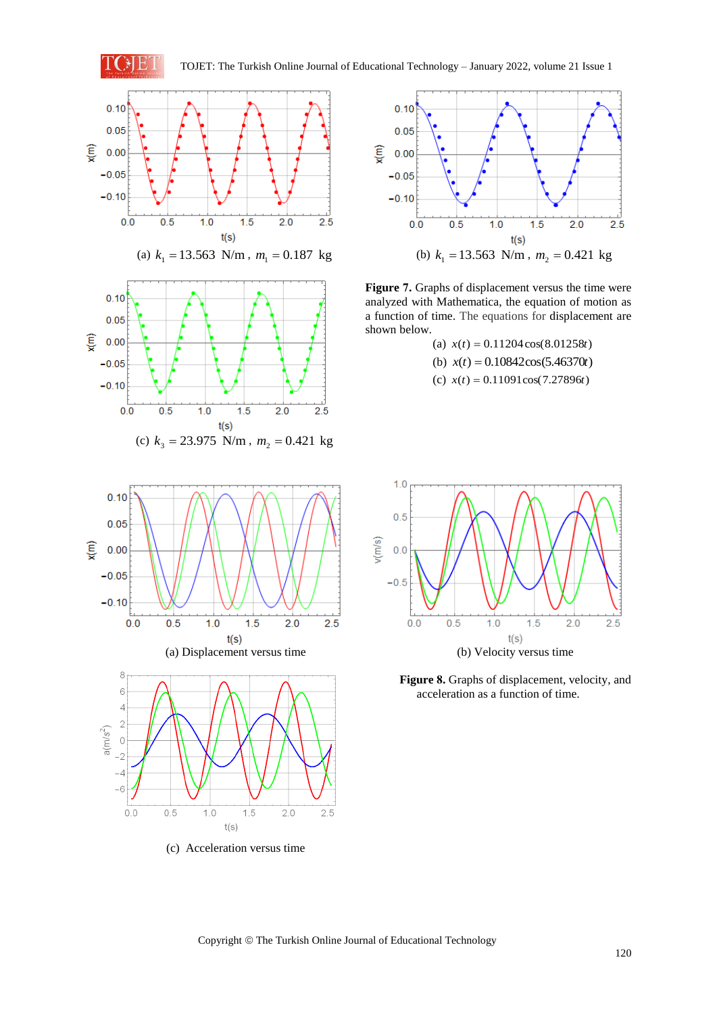





**Figure 7.** Graphs of displacement versus the time were analyzed with Mathematica, the equation of motion as a function of time. The equations for displacement are shown below.

(a)  $x(t) = 0.11204 \cos(8.01258t)$ (b)  $x(t) = 0.10842\cos(5.46370t)$ (c)  $x(t) = 0.11091\cos(7.27896t)$ 



(c) Acceleration versus time



**Figure 8.** Graphs of displacement, velocity, and acceleration as a function of time.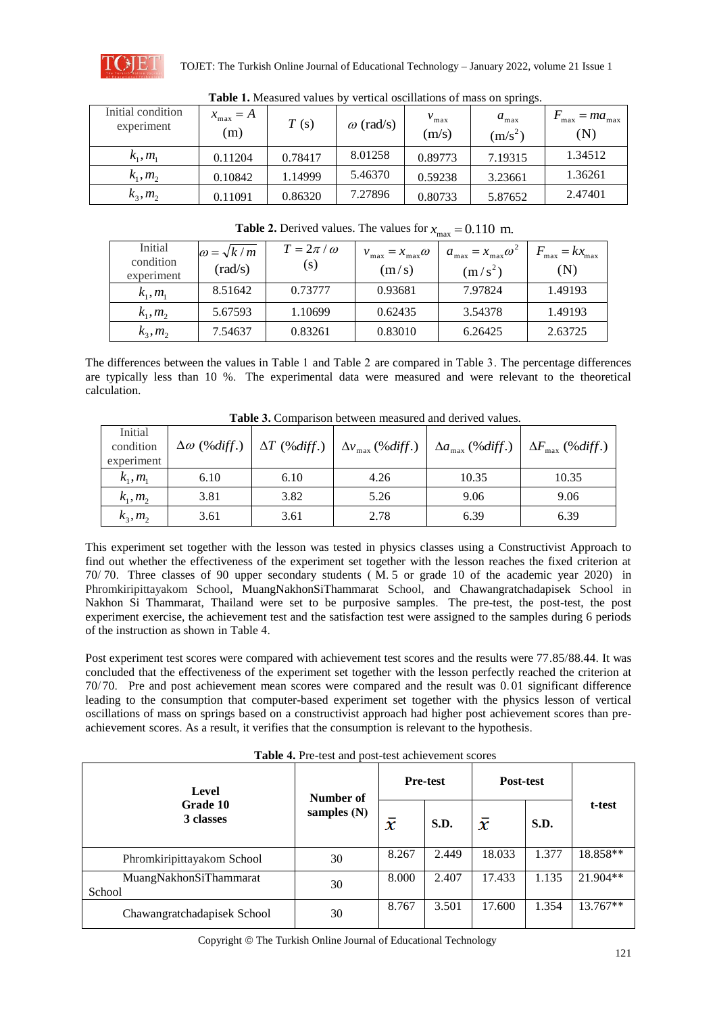

| Table 1. Mcasured values by<br>vertical oscilitations of mass on springs. |                             |         |                  |                           |                               |                                         |  |  |  |
|---------------------------------------------------------------------------|-----------------------------|---------|------------------|---------------------------|-------------------------------|-----------------------------------------|--|--|--|
| Initial condition<br>experiment                                           | $x_{\text{max}} = A$<br>(m) | T(s)    | $\omega$ (rad/s) | $v_{\text{max}}$<br>(m/s) | $a_{\text{max}}$<br>$(m/s^2)$ | $= ma_{\text{max}}$<br>max<br>$(\rm N)$ |  |  |  |
| $k_1, m_1$                                                                | 0.11204                     | 0.78417 | 8.01258          | 0.89773                   | 7.19315                       | 1.34512                                 |  |  |  |
| $k_1, m_2$                                                                | 0.10842                     | 1.14999 | 5.46370          | 0.59238                   | 3.23661                       | 1.36261                                 |  |  |  |
| $k_3, m_2$                                                                | 0.11091                     | 0.86320 | 7.27896          | 0.80733                   | 5.87652                       | 2.47401                                 |  |  |  |

**Table 1.** Measured values by vertical oscillations of mass on springs.

**Table 2.** Derived values. The values for  $x_{\text{max}} = 0.110$  m.

| Initial<br>condition<br>experiment | $\omega = \sqrt{k/m}$<br>$\text{rad/s)}$ | $T = 2\pi/\omega$<br>(S) | $=x_{\max}\omega$<br>$v_{\text{max}}$<br>(m/s) | $a_{\text{max}} = x_{\text{max}} \omega^2$<br>$(m/s^2)$ | $kx$ <sub>max</sub><br>max<br>$({\rm N})$ |
|------------------------------------|------------------------------------------|--------------------------|------------------------------------------------|---------------------------------------------------------|-------------------------------------------|
| $k_1, m_1$                         | 8.51642                                  | 0.73777                  | 0.93681                                        | 7.97824                                                 | 1.49193                                   |
| $k_1, m_2$                         | 5.67593                                  | 1.10699                  | 0.62435                                        | 3.54378                                                 | 1.49193                                   |
| $k_3, m_2$                         | 7.54637                                  | 0.83261                  | 0.83010                                        | 6.26425                                                 | 2.63725                                   |

The differences between the values in Table 1 and Table 2 are compared in Table 3. The percentage differences are typically less than 10 %. The experimental data were measured and were relevant to the theoretical calculation.

| <b>Table 5:</b> Companion between measured and derived values. |                         |      |                                                      |       |                                                                     |  |  |  |  |
|----------------------------------------------------------------|-------------------------|------|------------------------------------------------------|-------|---------------------------------------------------------------------|--|--|--|--|
| Initial<br>condition<br>experiment                             | $\Delta\omega$ (%diff.) |      | $\Delta T$ (%diff.) $\Delta v_{\text{max}}$ (%diff.) |       | $\Delta a_{\text{max}}$ (%diff.)   $\Delta F_{\text{max}}$ (%diff.) |  |  |  |  |
| $k_1, m_1$                                                     | 6.10                    | 6.10 | 4.26                                                 | 10.35 | 10.35                                                               |  |  |  |  |
| $k_1, m_2$                                                     | 3.81                    | 3.82 | 5.26                                                 | 9.06  | 9.06                                                                |  |  |  |  |
| $k_3, m_2$                                                     | 3.61                    | 3.61 | 2.78                                                 | 6.39  | 6.39                                                                |  |  |  |  |

**Table 3.** Comparison between measured and derived values.

This experiment set together with the lesson was tested in physics classes using a Constructivist Approach to find out whether the effectiveness of the experiment set together with the lesson reaches the fixed criterion at 70/ 70. Three classes of 90 upper secondary students ( M. 5 or grade 10 of the academic year 2020) in Phromkiripittayakom School, MuangNakhonSiThammarat School, and Chawangratchadapisek School in Nakhon Si Thammarat, Thailand were set to be purposive samples. The pre-test, the post-test, the post experiment exercise, the achievement test and the satisfaction test were assigned to the samples during 6 periods of the instruction as shown in Table 4.

Post experiment test scores were compared with achievement test scores and the results were 77.85/88.44. It was concluded that the effectiveness of the experiment set together with the lesson perfectly reached the criterion at 70/ 70. Pre and post achievement mean scores were compared and the result was 0. 01 significant difference leading to the consumption that computer-based experiment set together with the physics lesson of vertical oscillations of mass on springs based on a constructivist approach had higher post achievement scores than preachievement scores. As a result, it verifies that the consumption is relevant to the hypothesis.

| Level                            | Number of<br>samples $(N)$ | <b>Pre-test</b>            |       | Post-test |       |            |
|----------------------------------|----------------------------|----------------------------|-------|-----------|-------|------------|
| Grade 10<br>3 classes            |                            | $\boldsymbol{\mathcal{X}}$ | S.D.  | $\bar{x}$ | S.D.  | t-test     |
| Phromkiripittayakom School       | 30                         | 8.267                      | 2.449 | 18.033    | 1.377 | 18.858**   |
| MuangNakhonSiThammarat<br>School | 30                         | 8.000                      | 2.407 | 17.433    | 1.135 | $21.904**$ |
| Chawangratchadapisek School      | 30                         | 8.767                      | 3.501 | 17.600    | 1.354 | 13.767**   |

**Table 4.** Pre-test and post-test achievement scores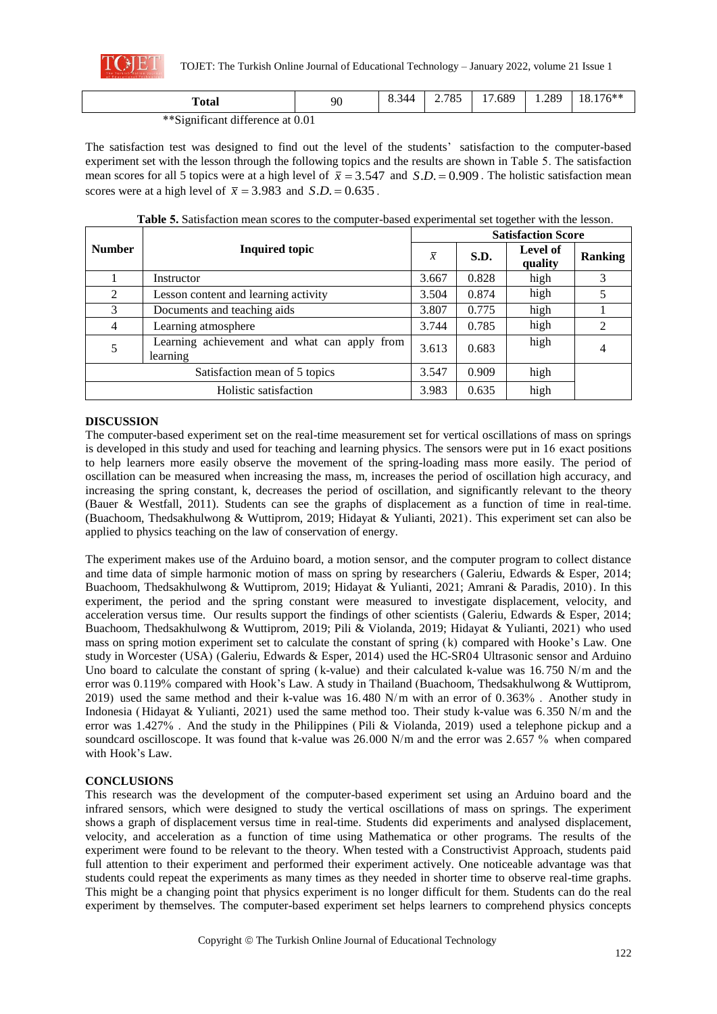

TOJET: The Turkish Online Journal of Educational Technology – January 2022, volume 21 Issue 1

| `otal                            | 90 | 8.344 | 2705<br>ده '<br>، ، | .689<br>$\sim$ | .289 | $176***$<br>.8.17 |
|----------------------------------|----|-------|---------------------|----------------|------|-------------------|
| **Significant difference at 0.01 |    |       |                     |                |      |                   |

The satisfaction test was designed to find out the level of the students' satisfaction to the computer-based experiment set with the lesson through the following topics and the results are shown in Table 5. The satisfaction mean scores for all 5 topics were at a high level of  $\bar{x} = 3.547$  and  $S.D. = 0.909$ . The holistic satisfaction mean scores were at a high level of  $\bar{x} = 3.983$  and  $S.D. = 0.635$ .

|                               | <b>Inquired topic</b>                                    |       | <b>Satisfaction Score</b> |                     |                |  |  |
|-------------------------------|----------------------------------------------------------|-------|---------------------------|---------------------|----------------|--|--|
| <b>Number</b>                 |                                                          |       | S.D.                      | Level of<br>quality | <b>Ranking</b> |  |  |
|                               | Instructor                                               | 3.667 | 0.828                     | high                |                |  |  |
| 2                             | Lesson content and learning activity                     | 3.504 | 0.874                     | high                |                |  |  |
| 3                             | Documents and teaching aids                              | 3.807 | 0.775                     | high                |                |  |  |
| 4                             | Learning atmosphere                                      | 3.744 | 0.785                     | high                |                |  |  |
| 5                             | Learning achievement and what can apply from<br>learning | 3.613 | 0.683                     | high                | 4              |  |  |
| Satisfaction mean of 5 topics |                                                          | 3.547 | 0.909                     | high                |                |  |  |
| Holistic satisfaction         |                                                          | 3.983 | 0.635                     | high                |                |  |  |

**Table 5.** Satisfaction mean scores to the computer-based experimental set together with the lesson.

# **DISCUSSION**

The computer-based experiment set on the real-time measurement set for vertical oscillations of mass on springs is developed in this study and used for teaching and learning physics. The sensors were put in 16 exact positions to help learners more easily observe the movement of the spring-loading mass more easily. The period of oscillation can be measured when increasing the mass, m, increases the period of oscillation high accuracy, and increasing the spring constant, k, decreases the period of oscillation, and significantly relevant to the theory (Bauer & Westfall, 2011). Students can see the graphs of displacement as a function of time in real-time. (Buachoom, Thedsakhulwong & Wuttiprom, 2019; Hidayat & Yulianti, 2021). This experiment set can also be applied to physics teaching on the law of conservation of energy.

The experiment makes use of the Arduino board, a motion sensor, and the computer program to collect distance and time data of simple harmonic motion of mass on spring by researchers (Galeriu, Edwards & Esper, 2014; Buachoom, Thedsakhulwong & Wuttiprom, 2019; Hidayat & Yulianti, 2021; Amrani & Paradis, 2010). In this experiment, the period and the spring constant were measured to investigate displacement, velocity, and acceleration versus time. Our results support the findings of other scientists (Galeriu, Edwards & Esper, 2014; Buachoom, Thedsakhulwong & Wuttiprom, 2019; Pili & Violanda, 2019; Hidayat & Yulianti, 2021) who used mass on spring motion experiment set to calculate the constant of spring (k) compared with Hooke's Law. One study in Worcester (USA) (Galeriu, Edwards & Esper, 2014) used the HC-SR04 Ultrasonic sensor and Arduino Uno board to calculate the constant of spring (k-value) and their calculated k-value was 16.750 N/m and the error was 0.119% compared with Hook's Law. A study in Thailand (Buachoom, Thedsakhulwong & Wuttiprom, 2019) used the same method and their k-value was 16.480 N/m with an error of 0.363% . Another study in Indonesia (Hidayat & Yulianti, 2021) used the same method too. Their study k-value was 6.350 N/m and the error was 1.427% . And the study in the Philippines ( Pili & Violanda, 2019) used a telephone pickup and a soundcard oscilloscope. It was found that k-value was 26.000 N/m and the error was 2.657 % when compared with Hook's Law.

# **CONCLUSIONS**

This research was the development of the computer-based experiment set using an Arduino board and the infrared sensors, which were designed to study the vertical oscillations of mass on springs. The experiment shows a graph of displacement versus time in real-time. Students did experiments and analysed displacement, velocity, and acceleration as a function of time using Mathematica or other programs. The results of the experiment were found to be relevant to the theory. When tested with a Constructivist Approach, students paid full attention to their experiment and performed their experiment actively. One noticeable advantage was that students could repeat the experiments as many times as they needed in shorter time to observe real-time graphs. This might be a changing point that physics experiment is no longer difficult for them. Students can do the real experiment by themselves. The computer-based experiment set helps learners to comprehend physics concepts